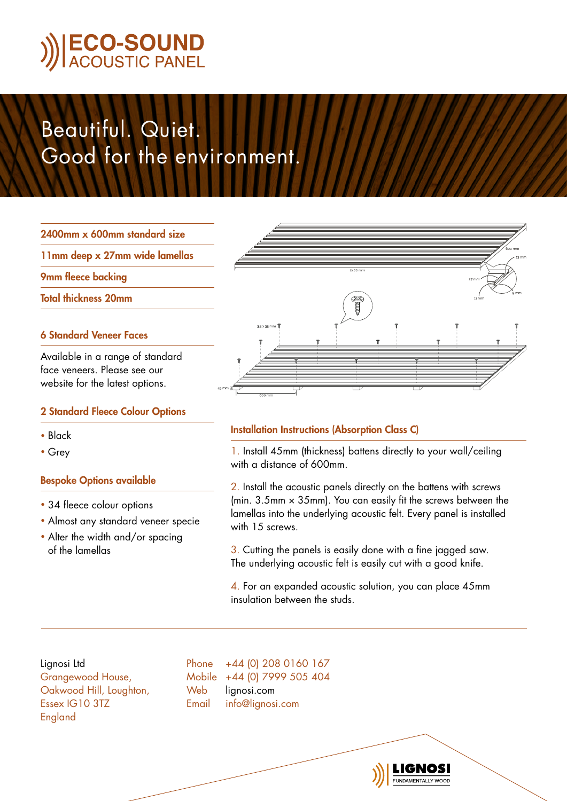# Beautiful. Quiet. Good for the environment.

2400mm x 600mm standard size

11mm deep x 27mm wide lamellas

9mm fleece backing

Total thickness 20mm

### 6 Standard Veneer Faces

Available in a range of standard face veneers. Please see our website for the latest options.

### 2 Standard Fleece Colour Options

- Black
- Grey

### Bespoke Options available

- 34 fleece colour options
- Almost any standard veneer specie
- Alter the width and/or spacing of the lamellas



## Installation Instructions (Absorption Class C)

1. Install 45mm (thickness) battens directly to your wall/ceiling with a distance of 600mm.

2. Install the acoustic panels directly on the battens with screws (min.  $3.5$ mm  $\times$   $35$ mm). You can easily fit the screws between the lamellas into the underlying acoustic felt. Every panel is installed with 15 screws.

3. Cutting the panels is easily done with a fine jagged saw. The underlying acoustic felt is easily cut with a good knife.

4. For an expanded acoustic solution, you can place 45mm insulation between the studs.

Lignosi Ltd Grangewood House, Oakwood Hill, Loughton, Essex IG10 3TZ England

Phone +44 (0) 208 0160 167 Mobile +44 (0) 7999 505 404 Web lignosi.com Email info@lignosi.com

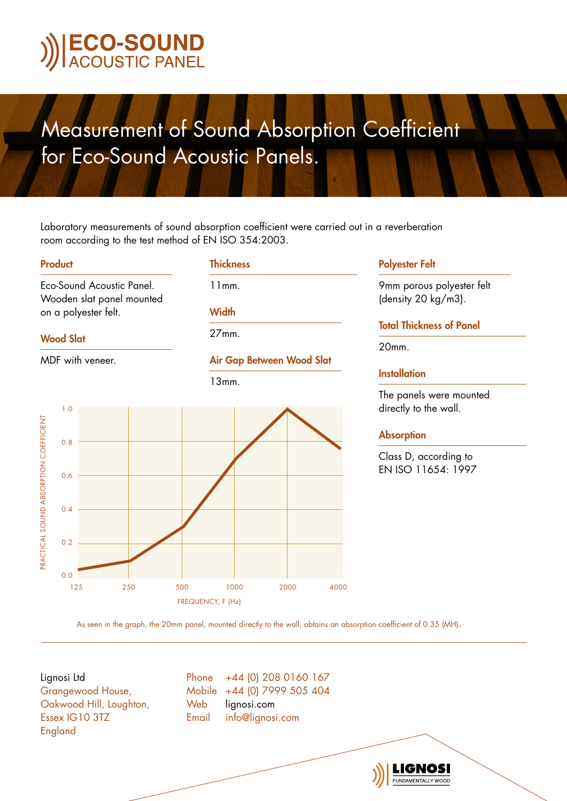## Measurement of Sound Absorption Coefficient for Eco-Sound Acoustic Panels.

Laboratory measurements of sound absorption coefficient were carried out in a reverberation room according to the test method of EN ISO 354:2003.

**Thickness** 

11mm.

**Width** 

27mm.

#### Product

Eco-Sound Acoustic Panel. Wooden slat panel mounted on a polyester felt.

#### Wood Slat



FREQUENCY, F (Hz)

#### Polyester Felt

9mm porous polyester felt (density 20 kg/m3).

### Total Thickness of Panel

20mm.

## **Installation**

The panels were mounted directly to the wall.

#### **Absorption**

Class D, according to EN ISO 11654: 1997

**UNDAMENTALLY WOOD** 

As seen in the graph, the 20mm panel, mounted directly to the wall, obtains an absorption coefficient of 0.35 (MH).

Lignosi Ltd Grangewood House, Oakwood Hill, Loughton, Essex IG10 3TZ England

Phone +44 (0) 208 0160 167 Mobile +44 (0) 7999 505 404 Web lianosi.com Email info@lignosi.com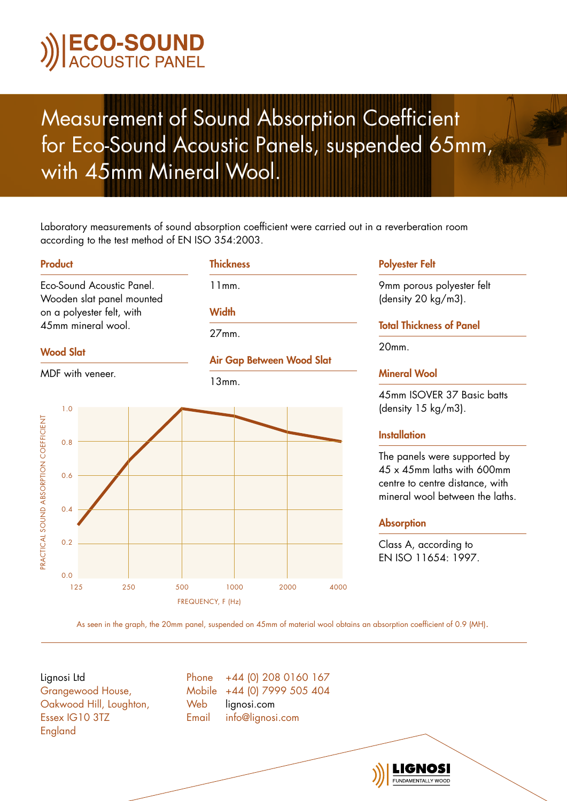## Measurement of Sound Absorption Coefficient for Eco-Sound Acoustic Panels, suspended 65mm, with 45mm Mineral Wool.

Laboratory measurements of sound absorption coefficient were carried out in a reverberation room according to the test method of EN ISO 354:2003.

Air Gap Between Wood Slat

**Thickness** 

11mm.

**Width** 

27mm.

13mm.

#### Product

Eco-Sound Acoustic Panel. Wooden slat panel mounted on a polyester felt, with 45mm mineral wool.

### Wood Slat

MDF with veneer.



#### Polyester Felt

9mm porous polyester felt (density 20 kg/m3).

### Total Thickness of Panel

20mm.

### Mineral Wool

45mm ISOVER 37 Basic batts (density 15 kg/m3).

### **Installation**

The panels were supported by 45 x 45mm laths with 600mm centre to centre distance, with mineral wool between the laths.

### Absorption

Class A, according to EN ISO 11654: 1997.

**UNDAMENTALLY WOOD** 

As seen in the graph, the 20mm panel, suspended on 45mm of material wool obtains an absorption coefficient of 0.9 (MH).

Lignosi Ltd

Grangewood House, Oakwood Hill, Loughton, Essex IG10 3TZ England

Phone +44 (0) 208 0160 167 Mobile +44 (0) 7999 505 404 Web lianosi.com Email info@lignosi.com